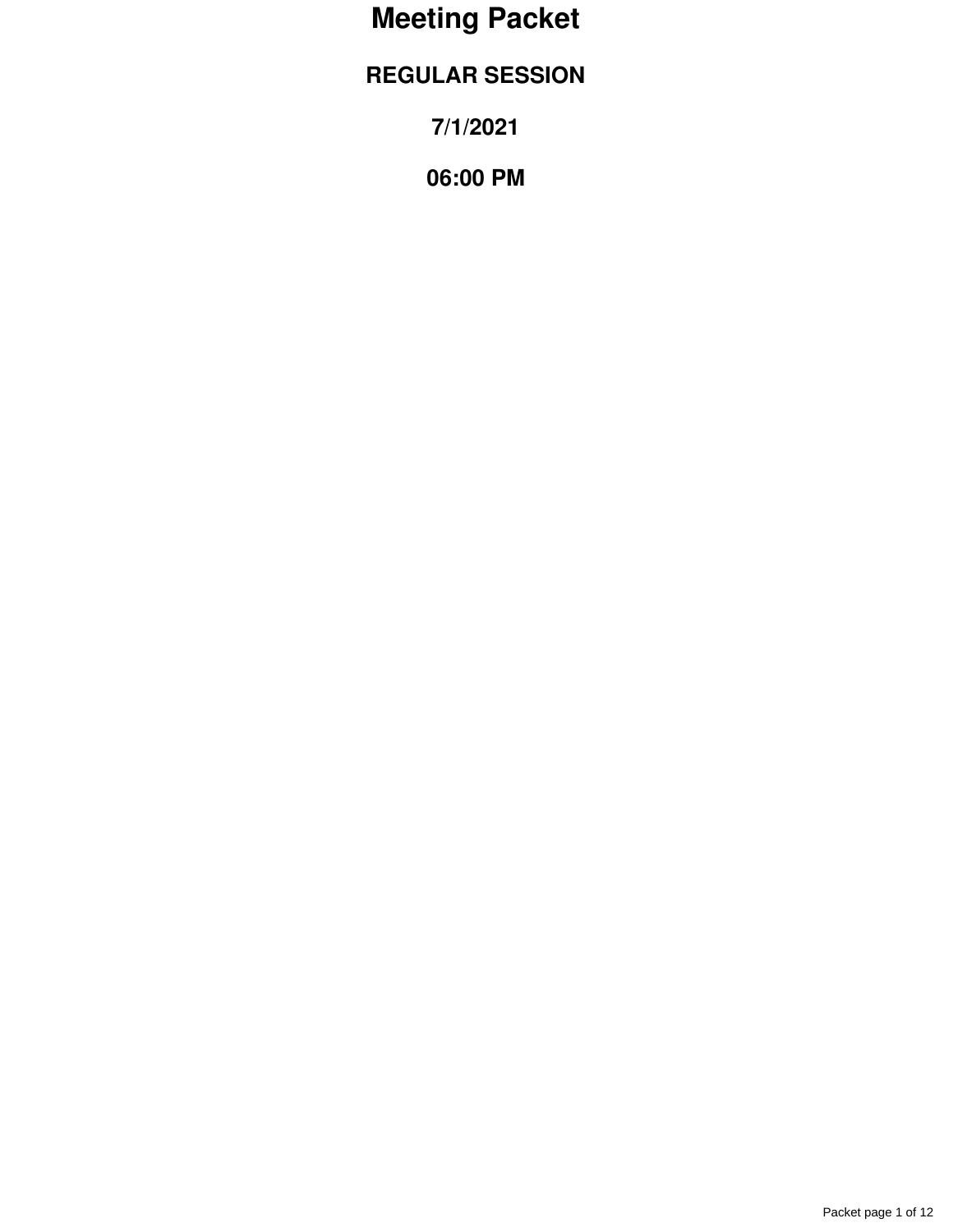# **Meeting Packet**

# **REGULAR SESSION**

**7/1/2021**

**06:00 PM**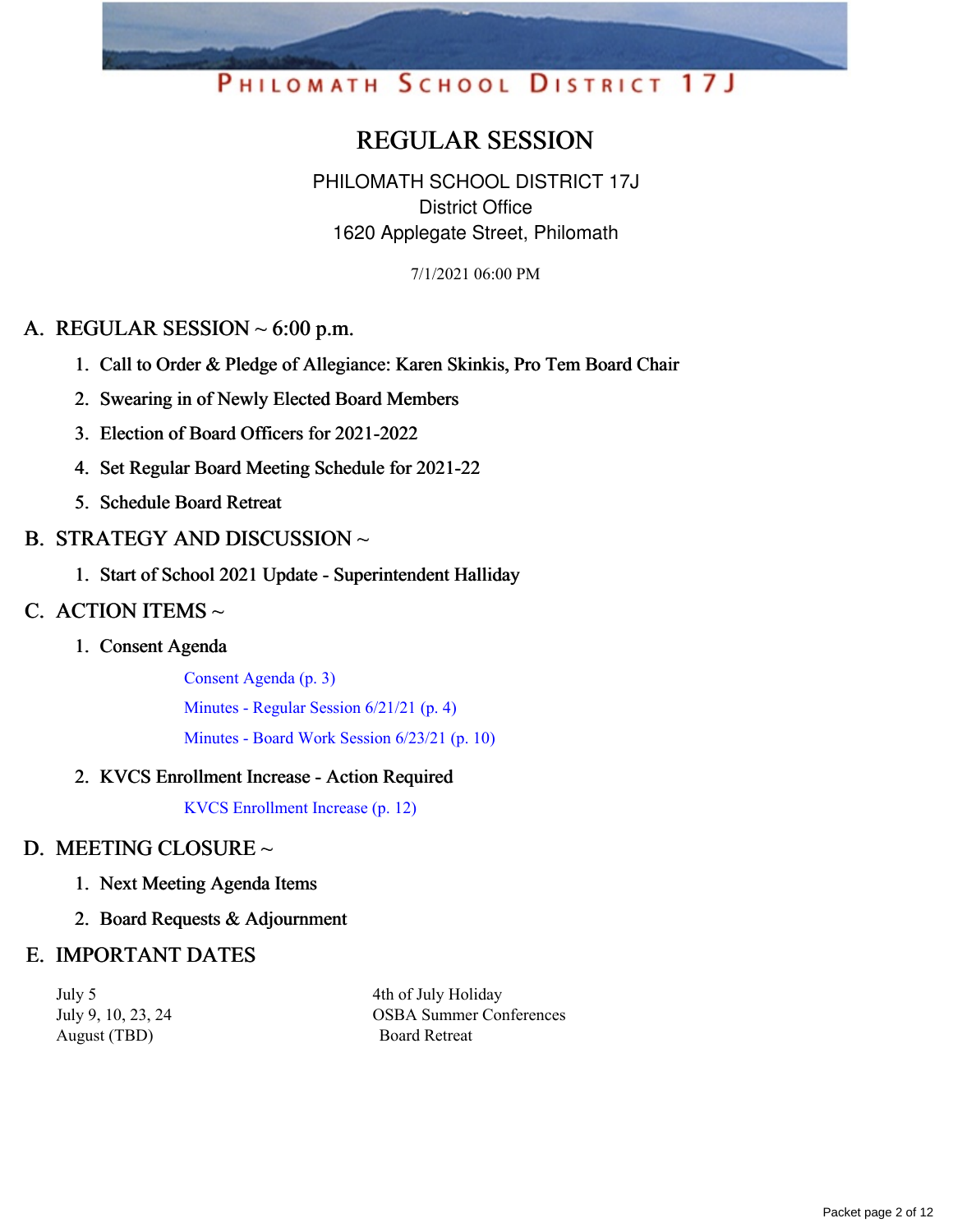# PHILOMATH SCHOOL DISTRICT 17J

## REGULAR SESSION

PHILOMATH SCHOOL DISTRICT 17J District Office 1620 Applegate Street, Philomath

7/1/2021 06:00 PM

### A. REGULAR SESSION  $\sim 6:00$  p.m.

- 1. Call to Order & Pledge of Allegiance: Karen Skinkis, Pro Tem Board Chair
- 2. Swearing in of Newly Elected Board Members
- 3. Election of Board Officers for 2021-2022
- 4. Set Regular Board Meeting Schedule for 2021-22
- 5. Schedule Board Retreat

### B. STRATEGY AND DISCUSSION ~

1. Start of School 2021 Update - Superintendent Halliday

### C. ACTION ITEMS  $\sim$

1. Consent Agenda

[Consent](https://app.eduportal.com/documents/view/799864) Agenda (p. 3) [Minutes](https://app.eduportal.com/documents/view/799865) - Regular Session 6/21/21 (p. 4) [Minutes](https://app.eduportal.com/documents/view/799866) - Board Work Session 6/23/21 (p. 10)

#### 2. KVCS Enrollment Increase - Action Required

KVCS [Enrollment](https://app.eduportal.com/documents/view/799872) Increase (p. 12)

### D. MEETING CLOSURE ~

- 1. Next Meeting Agenda Items
- 2. Board Requests & Adjournment

### E. IMPORTANT DATES

August (TBD) Board Retreat

July 5 4th of July Holiday July 9, 10, 23, 24 OSBA Summer Conferences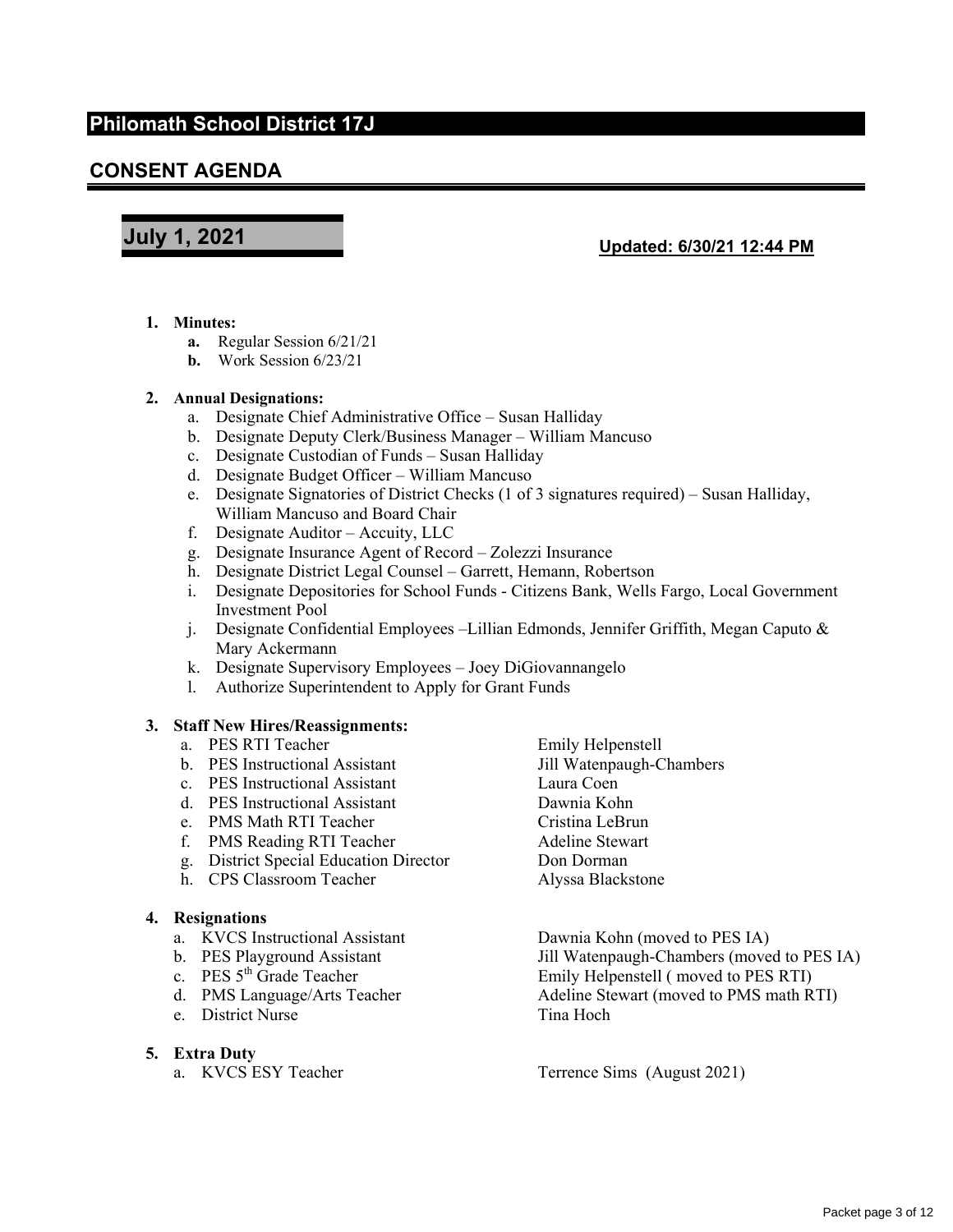### **CONSENT AGENDA**

### **July 1, 2021**

#### **Updated: 6/30/21 12:44 PM**

#### **1. Minutes:**

- **a.** Regular Session 6/21/21
- **b.** Work Session 6/23/21

#### **2. Annual Designations:**

- a. Designate Chief Administrative Office Susan Halliday
- b. Designate Deputy Clerk/Business Manager William Mancuso
- c. Designate Custodian of Funds Susan Halliday
- d. Designate Budget Officer William Mancuso
- e. Designate Signatories of District Checks (1 of 3 signatures required) Susan Halliday, William Mancuso and Board Chair
- f. Designate Auditor Accuity, LLC
- g. Designate Insurance Agent of Record Zolezzi Insurance
- h. Designate District Legal Counsel Garrett, Hemann, Robertson
- i. Designate Depositories for School Funds Citizens Bank, Wells Fargo, Local Government Investment Pool
- j. Designate Confidential Employees –Lillian Edmonds, Jennifer Griffith, Megan Caputo & Mary Ackermann
- k. Designate Supervisory Employees Joey DiGiovannangelo
- l. Authorize Superintendent to Apply for Grant Funds

#### **3. Staff New Hires/Reassignments:**

- a. PES RTI Teacher Emily Helpenstell
- b. PES Instructional Assistant Jill Watenpaugh-Chambers
- c. PES Instructional Assistant Laura Coen
- d. PES Instructional Assistant Dawnia Kohn
- e. PMS Math RTI Teacher Cristina LeBrun
- f. PMS Reading RTI Teacher Adeline Stewart
- g. District Special Education Director Don Dorman
- h. CPS Classroom Teacher Alyssa Blackstone

#### **4. Resignations**

- a. KVCS Instructional Assistant Dawnia Kohn (moved to PES IA)
- 
- 
- 
- e. District Nurse Tina Hoch

#### **5. Extra Duty**

b. PES Playground Assistant Jill Watenpaugh-Chambers (moved to PES IA)<br>c. PES 5<sup>th</sup> Grade Teacher Emily Helpenstell (moved to PES RTI) Emily Helpenstell (moved to PES RTI) d. PMS Language/Arts Teacher Adeline Stewart (moved to PMS math RTI)

a. KVCS ESY Teacher Terrence Sims (August 2021)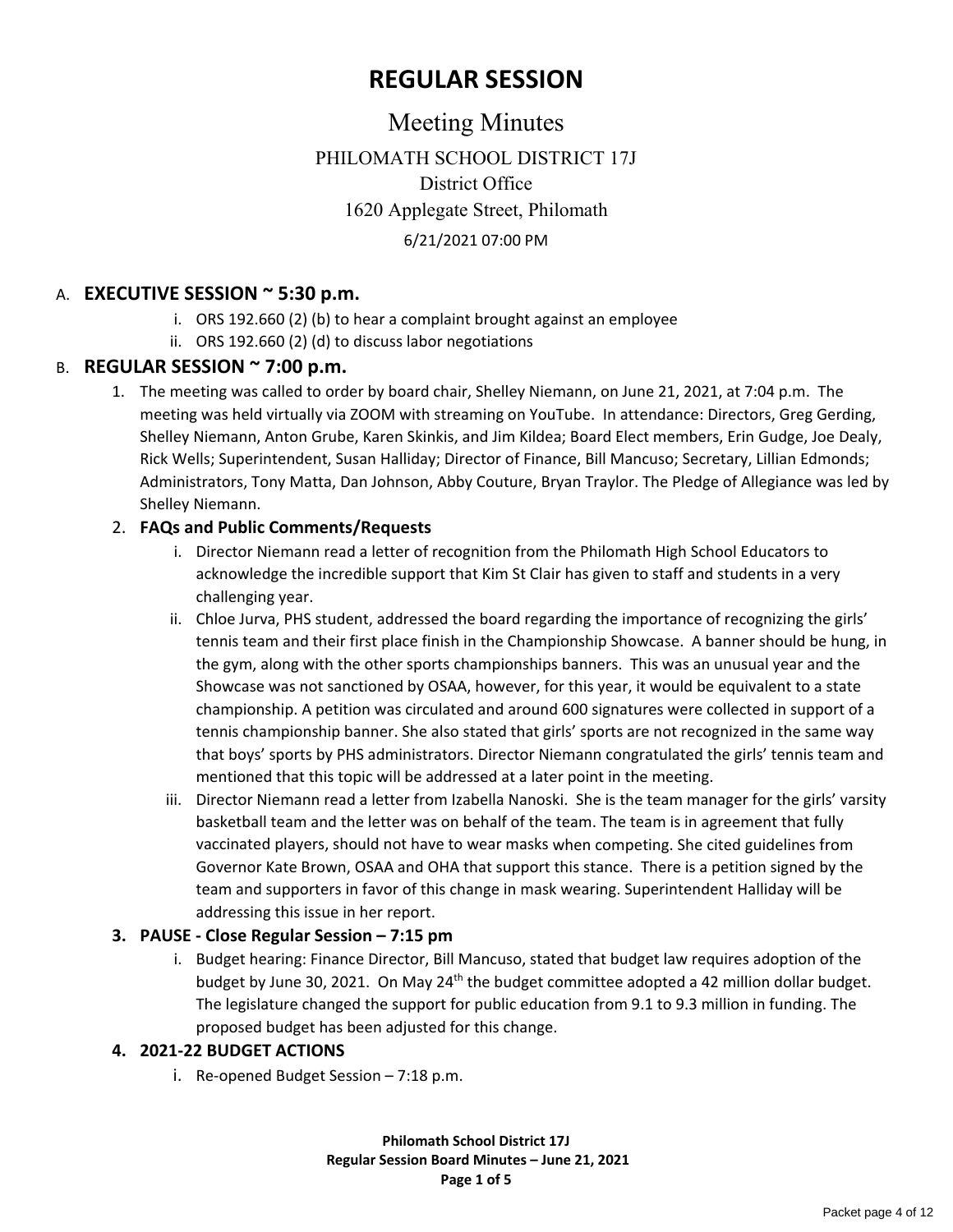# **REGULAR SESSION**

Meeting Minutes PHILOMATH SCHOOL DISTRICT 17J District Office 1620 Applegate Street, Philomath 6/21/2021 07:00 PM

### A. **EXECUTIVE SESSION ~ 5:30 p.m.**

- i. ORS 192.660 (2) (b) to hear a complaint brought against an employee
- ii. ORS 192.660 (2) (d) to discuss labor negotiations

### B. **REGULAR SESSION ~ 7:00 p.m.**

1. The meeting was called to order by board chair, Shelley Niemann, on June 21, 2021, at 7:04 p.m. The meeting was held virtually via ZOOM with streaming on YouTube. In attendance: Directors, Greg Gerding, Shelley Niemann, Anton Grube, Karen Skinkis, and Jim Kildea; Board Elect members, Erin Gudge, Joe Dealy, Rick Wells; Superintendent, Susan Halliday; Director of Finance, Bill Mancuso; Secretary, Lillian Edmonds; Administrators, Tony Matta, Dan Johnson, Abby Couture, Bryan Traylor. The Pledge of Allegiance was led by Shelley Niemann.

#### 2. **FAQs and Public Comments/Requests**

- i. Director Niemann read a letter of recognition from the Philomath High School Educators to acknowledge the incredible support that Kim St Clair has given to staff and students in a very challenging year.
- ii. Chloe Jurva, PHS student, addressed the board regarding the importance of recognizing the girls' tennis team and their first place finish in the Championship Showcase. A banner should be hung, in the gym, along with the other sports championships banners. This was an unusual year and the Showcase was not sanctioned by OSAA, however, for this year, it would be equivalent to a state championship. A petition was circulated and around 600 signatures were collected in support of a tennis championship banner. She also stated that girls' sports are not recognized in the same way that boys' sports by PHS administrators. Director Niemann congratulated the girls' tennis team and mentioned that this topic will be addressed at a later point in the meeting.
- iii. Director Niemann read a letter from Izabella Nanoski. She is the team manager for the girls' varsity basketball team and the letter was on behalf of the team. The team is in agreement that fully vaccinated players, should not have to wear masks when competing. She cited guidelines from Governor Kate Brown, OSAA and OHA that support this stance. There is a petition signed by the team and supporters in favor of this change in mask wearing. Superintendent Halliday will be addressing this issue in her report.

#### **3. PAUSE ‐ Close Regular Session – 7:15 pm**

i. Budget hearing: Finance Director, Bill Mancuso, stated that budget law requires adoption of the budget by June 30, 2021. On May 24<sup>th</sup> the budget committee adopted a 42 million dollar budget. The legislature changed the support for public education from 9.1 to 9.3 million in funding. The proposed budget has been adjusted for this change.

#### **4. 2021‐22 BUDGET ACTIONS**

i. Re‐opened Budget Session – 7:18 p.m.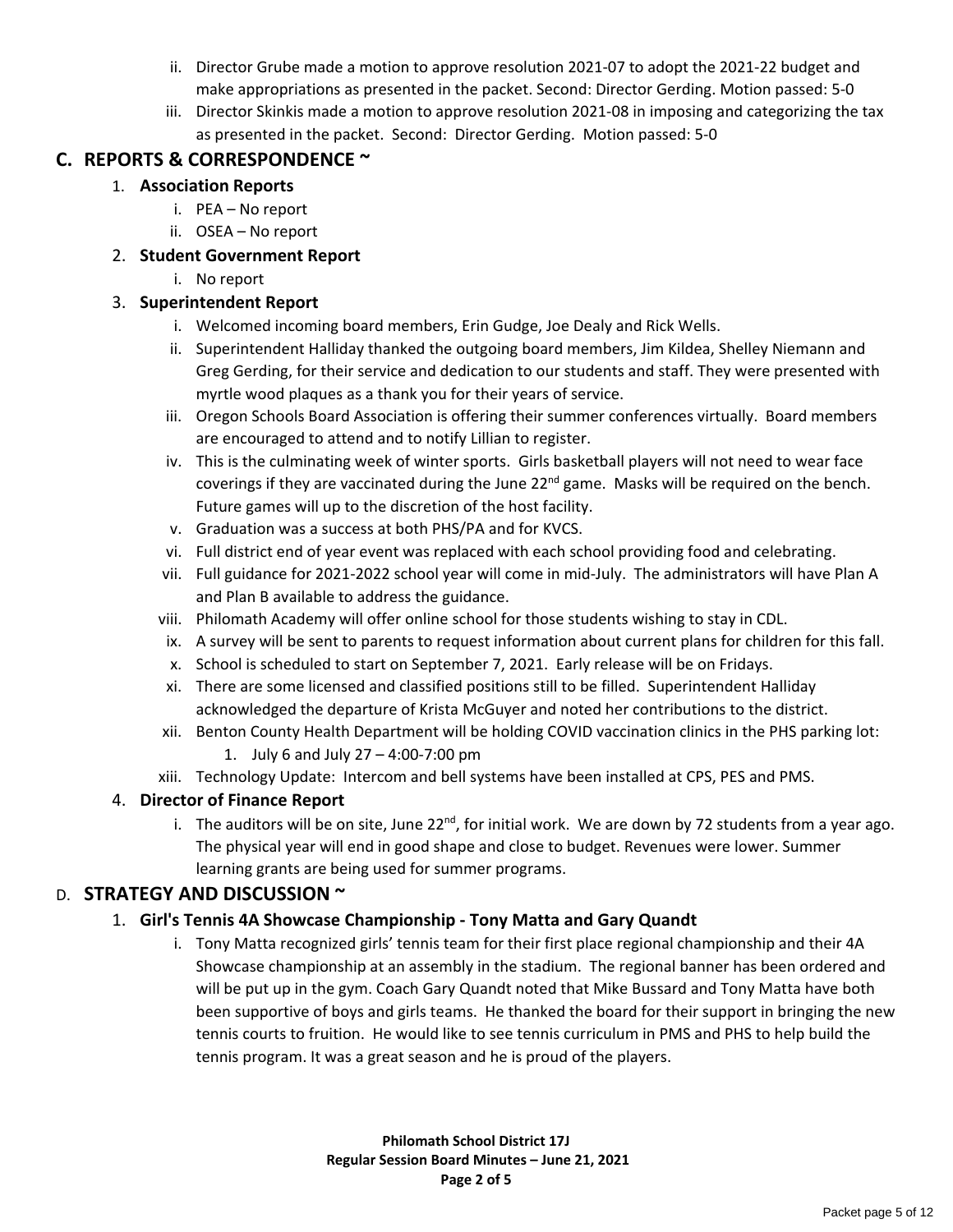- ii. Director Grube made a motion to approve resolution 2021‐07 to adopt the 2021‐22 budget and make appropriations as presented in the packet. Second: Director Gerding. Motion passed: 5‐0
- iii. Director Skinkis made a motion to approve resolution 2021‐08 in imposing and categorizing the tax as presented in the packet. Second: Director Gerding. Motion passed: 5‐0

### **C. REPORTS & CORRESPONDENCE ~**

### 1. **Association Reports**

- i. PEA No report
- ii. OSEA No report

### 2. **Student Government Report**

i. No report

### 3. **Superintendent Report**

- i. Welcomed incoming board members, Erin Gudge, Joe Dealy and Rick Wells.
- ii. Superintendent Halliday thanked the outgoing board members, Jim Kildea, Shelley Niemann and Greg Gerding, for their service and dedication to our students and staff. They were presented with myrtle wood plaques as a thank you for their years of service.
- iii. Oregon Schools Board Association is offering their summer conferences virtually. Board members are encouraged to attend and to notify Lillian to register.
- iv. This is the culminating week of winter sports. Girls basketball players will not need to wear face coverings if they are vaccinated during the June  $22<sup>nd</sup>$  game. Masks will be required on the bench. Future games will up to the discretion of the host facility.
- v. Graduation was a success at both PHS/PA and for KVCS.
- vi. Full district end of year event was replaced with each school providing food and celebrating.
- vii. Full guidance for 2021‐2022 school year will come in mid‐July. The administrators will have Plan A and Plan B available to address the guidance.
- viii. Philomath Academy will offer online school for those students wishing to stay in CDL.
- ix. A survey will be sent to parents to request information about current plans for children for this fall.
- x. School is scheduled to start on September 7, 2021. Early release will be on Fridays.
- xi. There are some licensed and classified positions still to be filled. Superintendent Halliday acknowledged the departure of Krista McGuyer and noted her contributions to the district.
- xii. Benton County Health Department will be holding COVID vaccination clinics in the PHS parking lot:
	- 1. July 6 and July 27 4:00‐7:00 pm
- xiii. Technology Update: Intercom and bell systems have been installed at CPS, PES and PMS.

### 4. **Director of Finance Report**

i. The auditors will be on site, June 22<sup>nd</sup>, for initial work. We are down by 72 students from a year ago. The physical year will end in good shape and close to budget. Revenues were lower. Summer learning grants are being used for summer programs.

### D. **STRATEGY AND DISCUSSION ~**

### 1. **Girl's Tennis 4A Showcase Championship ‐ Tony Matta and Gary Quandt**

i. Tony Matta recognized girls' tennis team for their first place regional championship and their 4A Showcase championship at an assembly in the stadium. The regional banner has been ordered and will be put up in the gym. Coach Gary Quandt noted that Mike Bussard and Tony Matta have both been supportive of boys and girls teams. He thanked the board for their support in bringing the new tennis courts to fruition. He would like to see tennis curriculum in PMS and PHS to help build the tennis program. It was a great season and he is proud of the players.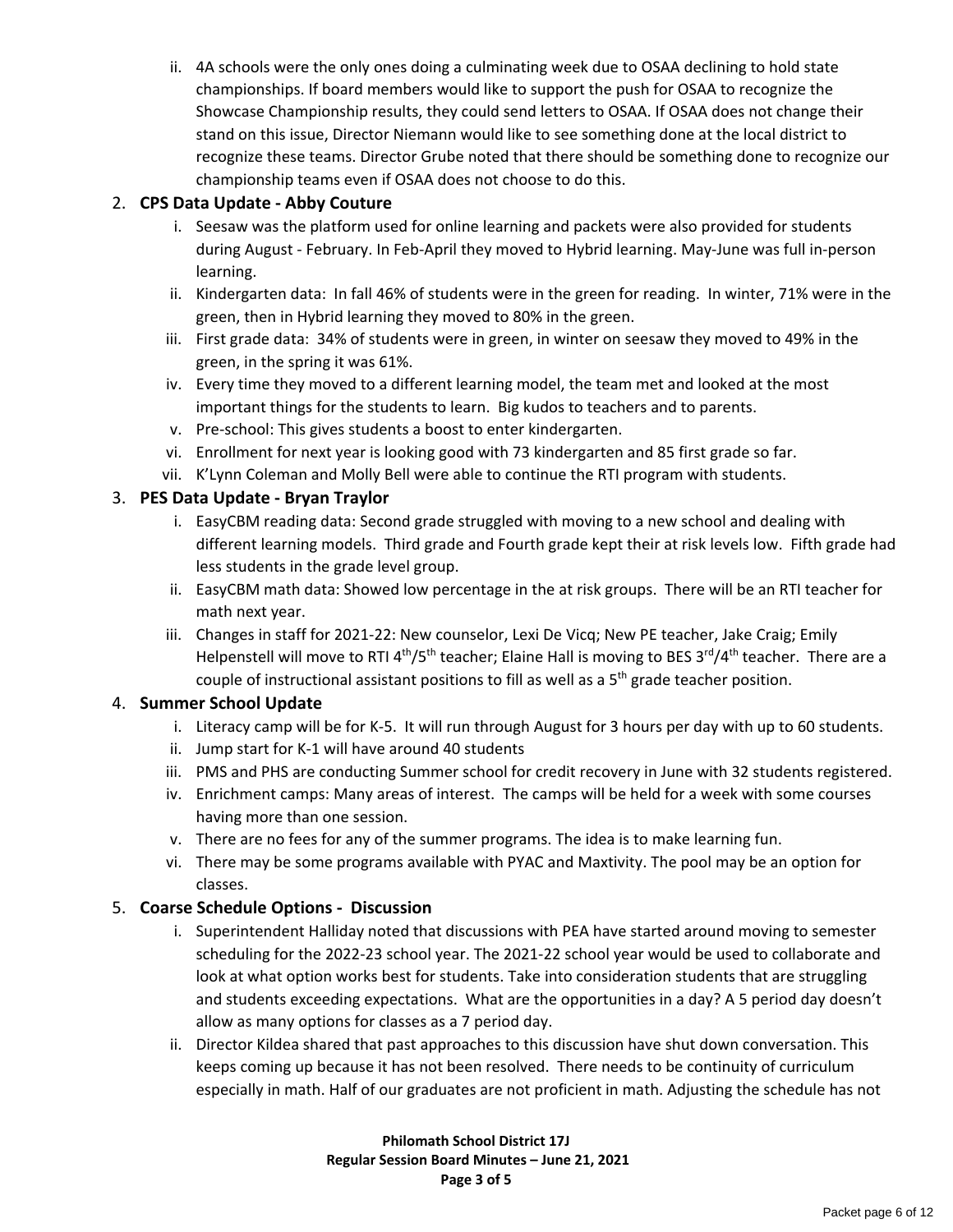ii. 4A schools were the only ones doing a culminating week due to OSAA declining to hold state championships. If board members would like to support the push for OSAA to recognize the Showcase Championship results, they could send letters to OSAA. If OSAA does not change their stand on this issue, Director Niemann would like to see something done at the local district to recognize these teams. Director Grube noted that there should be something done to recognize our championship teams even if OSAA does not choose to do this.

### 2. **CPS Data Update ‐ Abby Couture**

- i. Seesaw was the platform used for online learning and packets were also provided for students during August ‐ February. In Feb‐April they moved to Hybrid learning. May‐June was full in‐person learning.
- ii. Kindergarten data: In fall 46% of students were in the green for reading. In winter, 71% were in the green, then in Hybrid learning they moved to 80% in the green.
- iii. First grade data: 34% of students were in green, in winter on seesaw they moved to 49% in the green, in the spring it was 61%.
- iv. Every time they moved to a different learning model, the team met and looked at the most important things for the students to learn. Big kudos to teachers and to parents.
- v. Pre‐school: This gives students a boost to enter kindergarten.
- vi. Enrollment for next year is looking good with 73 kindergarten and 85 first grade so far.
- vii. K'Lynn Coleman and Molly Bell were able to continue the RTI program with students.

### 3. **PES Data Update ‐ Bryan Traylor**

- i. EasyCBM reading data: Second grade struggled with moving to a new school and dealing with different learning models. Third grade and Fourth grade kept their at risk levels low. Fifth grade had less students in the grade level group.
- ii. EasyCBM math data: Showed low percentage in the at risk groups. There will be an RTI teacher for math next year.
- iii. Changes in staff for 2021‐22: New counselor, Lexi De Vicq; New PE teacher, Jake Craig; Emily Helpenstell will move to RTI 4<sup>th</sup>/5<sup>th</sup> teacher; Elaine Hall is moving to BES 3<sup>rd</sup>/4<sup>th</sup> teacher. There are a couple of instructional assistant positions to fill as well as a 5<sup>th</sup> grade teacher position.

#### 4. **Summer School Update**

- i. Literacy camp will be for K‐5. It will run through August for 3 hours per day with up to 60 students.
- ii. Jump start for K‐1 will have around 40 students
- iii. PMS and PHS are conducting Summer school for credit recovery in June with 32 students registered.
- iv. Enrichment camps: Many areas of interest. The camps will be held for a week with some courses having more than one session.
- v. There are no fees for any of the summer programs. The idea is to make learning fun.
- vi. There may be some programs available with PYAC and Maxtivity. The pool may be an option for classes.

#### 5. **Coarse Schedule Options ‐ Discussion**

- i. Superintendent Halliday noted that discussions with PEA have started around moving to semester scheduling for the 2022‐23 school year. The 2021‐22 school year would be used to collaborate and look at what option works best for students. Take into consideration students that are struggling and students exceeding expectations. What are the opportunities in a day? A 5 period day doesn't allow as many options for classes as a 7 period day.
- ii. Director Kildea shared that past approaches to this discussion have shut down conversation. This keeps coming up because it has not been resolved. There needs to be continuity of curriculum especially in math. Half of our graduates are not proficient in math. Adjusting the schedule has not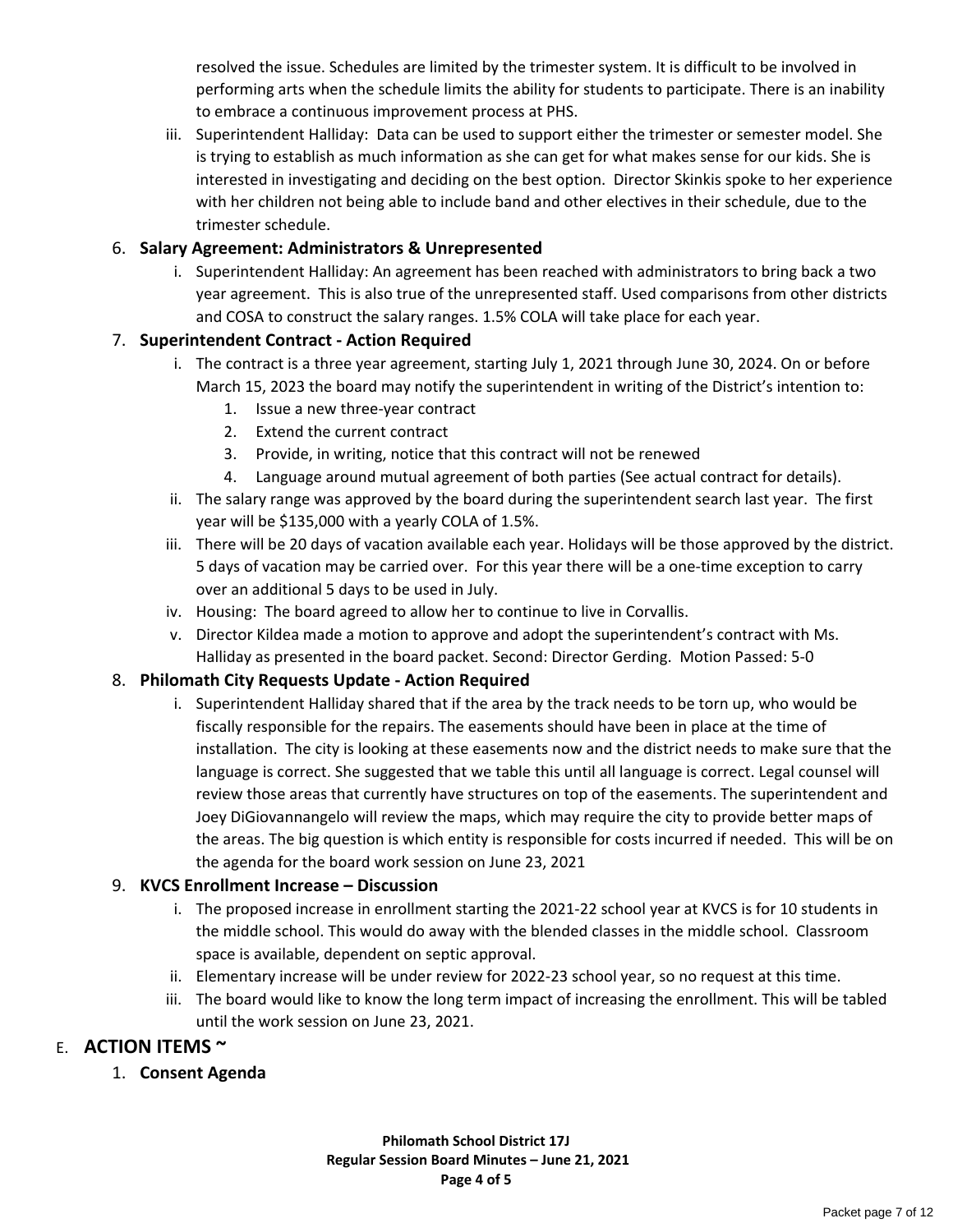resolved the issue. Schedules are limited by the trimester system. It is difficult to be involved in performing arts when the schedule limits the ability for students to participate. There is an inability to embrace a continuous improvement process at PHS.

iii. Superintendent Halliday: Data can be used to support either the trimester or semester model. She is trying to establish as much information as she can get for what makes sense for our kids. She is interested in investigating and deciding on the best option. Director Skinkis spoke to her experience with her children not being able to include band and other electives in their schedule, due to the trimester schedule.

### 6. **Salary Agreement: Administrators & Unrepresented**

i. Superintendent Halliday: An agreement has been reached with administrators to bring back a two year agreement. This is also true of the unrepresented staff. Used comparisons from other districts and COSA to construct the salary ranges. 1.5% COLA will take place for each year.

### 7. **Superintendent Contract ‐ Action Required**

- i. The contract is a three year agreement, starting July 1, 2021 through June 30, 2024. On or before March 15, 2023 the board may notify the superintendent in writing of the District's intention to:
	- 1. Issue a new three‐year contract
	- 2. Extend the current contract
	- 3. Provide, in writing, notice that this contract will not be renewed
	- 4. Language around mutual agreement of both parties (See actual contract for details).
- ii. The salary range was approved by the board during the superintendent search last year. The first year will be \$135,000 with a yearly COLA of 1.5%.
- iii. There will be 20 days of vacation available each year. Holidays will be those approved by the district. 5 days of vacation may be carried over. For this year there will be a one-time exception to carry over an additional 5 days to be used in July.
- iv. Housing: The board agreed to allow her to continue to live in Corvallis.
- v. Director Kildea made a motion to approve and adopt the superintendent's contract with Ms. Halliday as presented in the board packet. Second: Director Gerding. Motion Passed: 5‐0

### 8. **Philomath City Requests Update ‐ Action Required**

i. Superintendent Halliday shared that if the area by the track needs to be torn up, who would be fiscally responsible for the repairs. The easements should have been in place at the time of installation. The city is looking at these easements now and the district needs to make sure that the language is correct. She suggested that we table this until all language is correct. Legal counsel will review those areas that currently have structures on top of the easements. The superintendent and Joey DiGiovannangelo will review the maps, which may require the city to provide better maps of the areas. The big question is which entity is responsible for costs incurred if needed. This will be on the agenda for the board work session on June 23, 2021

### 9. **KVCS Enrollment Increase – Discussion**

- i. The proposed increase in enrollment starting the 2021‐22 school year at KVCS is for 10 students in the middle school. This would do away with the blended classes in the middle school. Classroom space is available, dependent on septic approval.
- ii. Elementary increase will be under review for 2022‐23 school year, so no request at this time.
- iii. The board would like to know the long term impact of increasing the enrollment. This will be tabled until the work session on June 23, 2021.

### E. **ACTION ITEMS ~**

1. **Consent Agenda**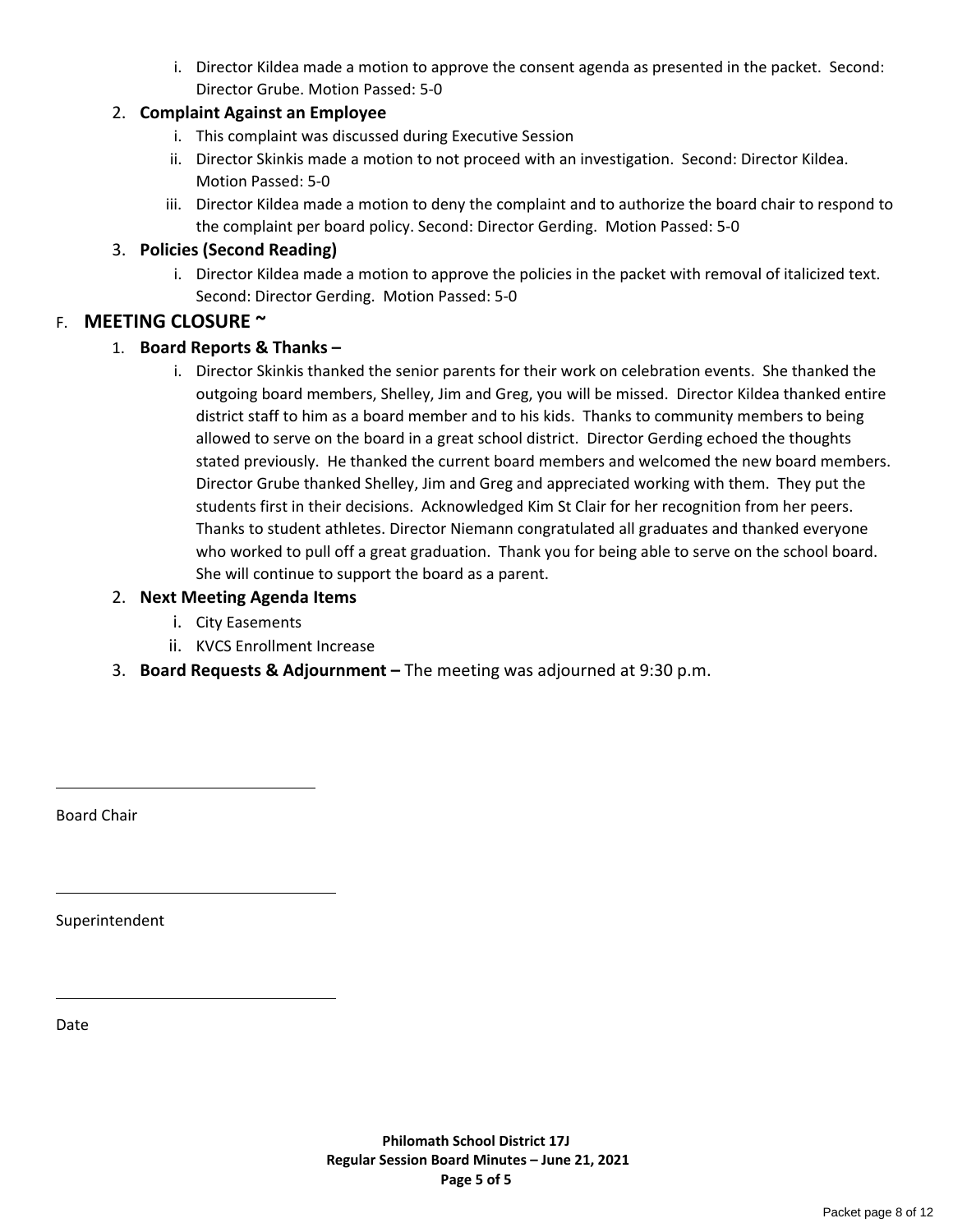i. Director Kildea made a motion to approve the consent agenda as presented in the packet. Second: Director Grube. Motion Passed: 5‐0

### 2. **Complaint Against an Employee**

- i. This complaint was discussed during Executive Session
- ii. Director Skinkis made a motion to not proceed with an investigation. Second: Director Kildea. Motion Passed: 5‐0
- iii. Director Kildea made a motion to deny the complaint and to authorize the board chair to respond to the complaint per board policy. Second: Director Gerding. Motion Passed: 5‐0

### 3. **Policies (Second Reading)**

i. Director Kildea made a motion to approve the policies in the packet with removal of italicized text. Second: Director Gerding. Motion Passed: 5‐0

### F. **MEETING CLOSURE ~**

### 1. **Board Reports & Thanks –**

i. Director Skinkis thanked the senior parents for their work on celebration events. She thanked the outgoing board members, Shelley, Jim and Greg, you will be missed. Director Kildea thanked entire district staff to him as a board member and to his kids. Thanks to community members to being allowed to serve on the board in a great school district. Director Gerding echoed the thoughts stated previously. He thanked the current board members and welcomed the new board members. Director Grube thanked Shelley, Jim and Greg and appreciated working with them. They put the students first in their decisions. Acknowledged Kim St Clair for her recognition from her peers. Thanks to student athletes. Director Niemann congratulated all graduates and thanked everyone who worked to pull off a great graduation. Thank you for being able to serve on the school board. She will continue to support the board as a parent.

### 2. **Next Meeting Agenda Items**

i. City Easements

- ii. KVCS Enrollment Increase
- 3. **Board Requests & Adjournment –** The meeting was adjourned at 9:30 p.m.

Board Chair

Superintendent

Date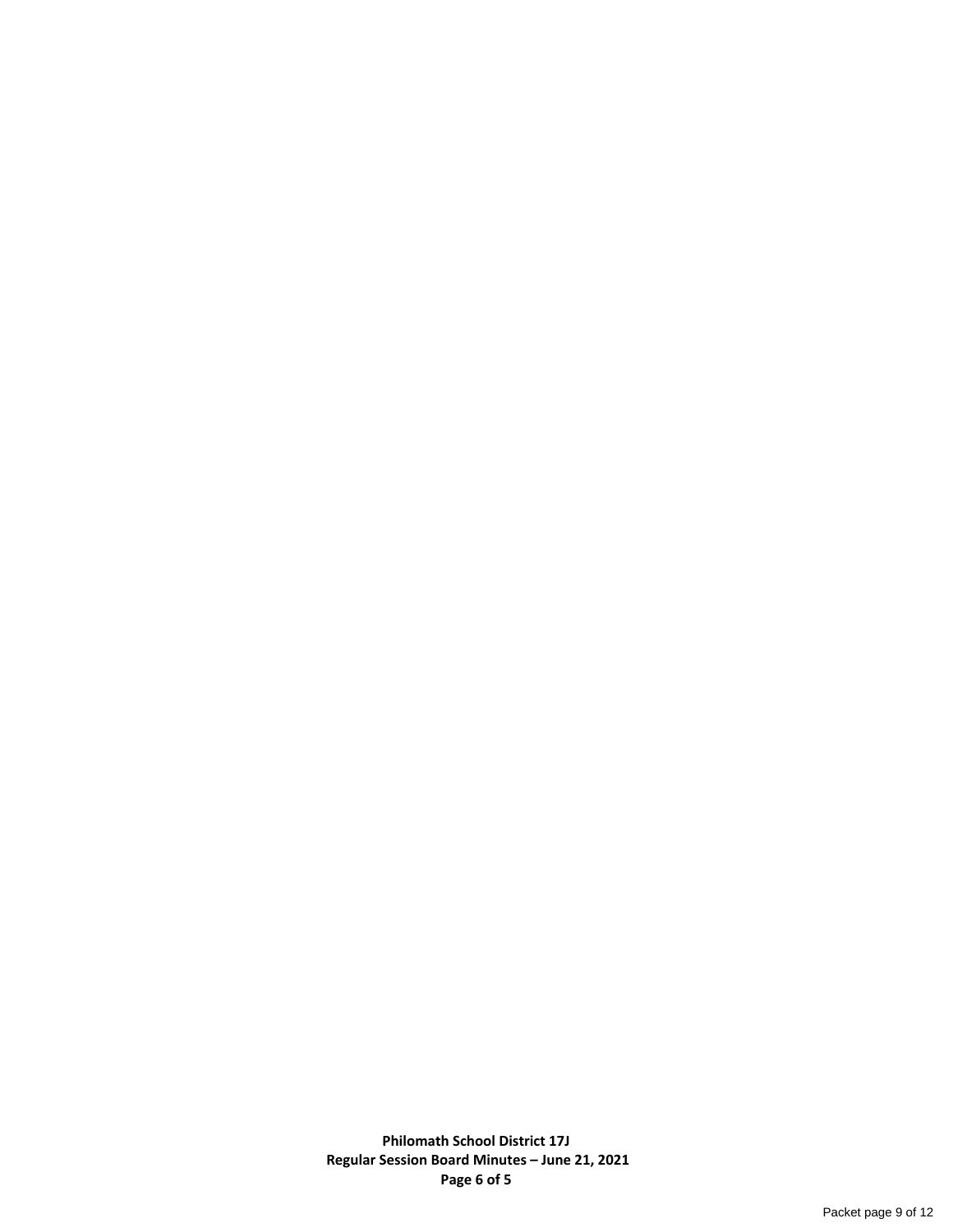**Philomath School District 17J Regular Session Board Minutes – June 21, 2021 Page 6 of 5**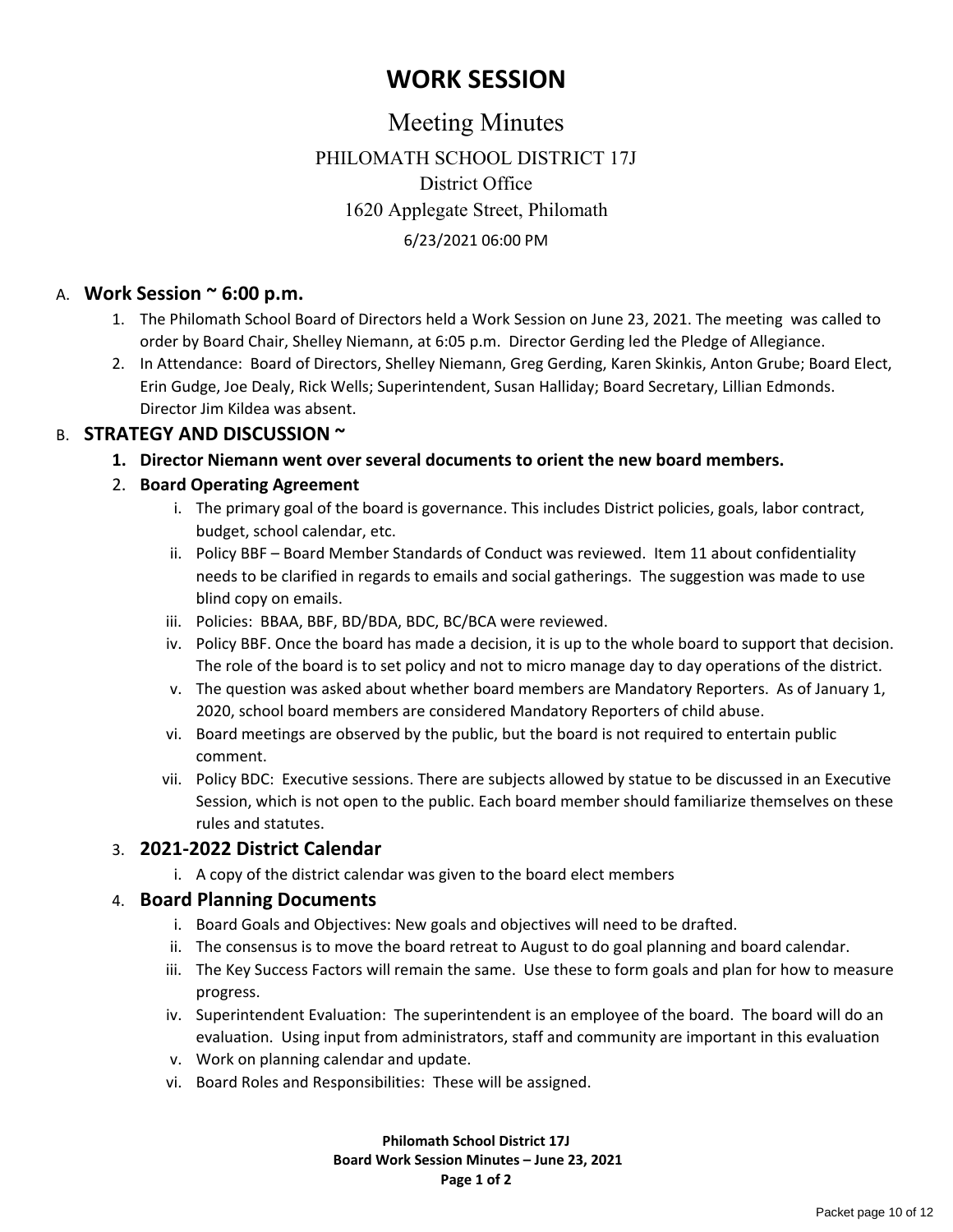# **WORK SESSION**

# Meeting Minutes PHILOMATH SCHOOL DISTRICT 17J District Office 1620 Applegate Street, Philomath 6/23/2021 06:00 PM

### A. **Work Session ~ 6:00 p.m.**

- 1. The Philomath School Board of Directors held a Work Session on June 23, 2021. The meeting was called to order by Board Chair, Shelley Niemann, at 6:05 p.m. Director Gerding led the Pledge of Allegiance.
- 2. In Attendance: Board of Directors, Shelley Niemann, Greg Gerding, Karen Skinkis, Anton Grube; Board Elect, Erin Gudge, Joe Dealy, Rick Wells; Superintendent, Susan Halliday; Board Secretary, Lillian Edmonds. Director Jim Kildea was absent.

### B. **STRATEGY AND DISCUSSION ~**

**1. Director Niemann went over several documents to orient the new board members.**

### 2. **Board Operating Agreement**

- i. The primary goal of the board is governance. This includes District policies, goals, labor contract, budget, school calendar, etc.
- ii. Policy BBF Board Member Standards of Conduct was reviewed. Item 11 about confidentiality needs to be clarified in regards to emails and social gatherings. The suggestion was made to use blind copy on emails.
- iii. Policies: BBAA, BBF, BD/BDA, BDC, BC/BCA were reviewed.
- iv. Policy BBF. Once the board has made a decision, it is up to the whole board to support that decision. The role of the board is to set policy and not to micro manage day to day operations of the district.
- v. The question was asked about whether board members are Mandatory Reporters. As of January 1, 2020, school board members are considered Mandatory Reporters of child abuse.
- vi. Board meetings are observed by the public, but the board is not required to entertain public comment.
- vii. Policy BDC: Executive sessions. There are subjects allowed by statue to be discussed in an Executive Session, which is not open to the public. Each board member should familiarize themselves on these rules and statutes.

### 3. **2021‐2022 District Calendar**

i. A copy of the district calendar was given to the board elect members

#### 4. **Board Planning Documents**

- i. Board Goals and Objectives: New goals and objectives will need to be drafted.
- ii. The consensus is to move the board retreat to August to do goal planning and board calendar.
- iii. The Key Success Factors will remain the same. Use these to form goals and plan for how to measure progress.
- iv. Superintendent Evaluation: The superintendent is an employee of the board. The board will do an evaluation. Using input from administrators, staff and community are important in this evaluation
- v. Work on planning calendar and update.
- vi. Board Roles and Responsibilities: These will be assigned.

**Philomath School District 17J Board Work Session Minutes – June 23, 2021 Page 1 of 2**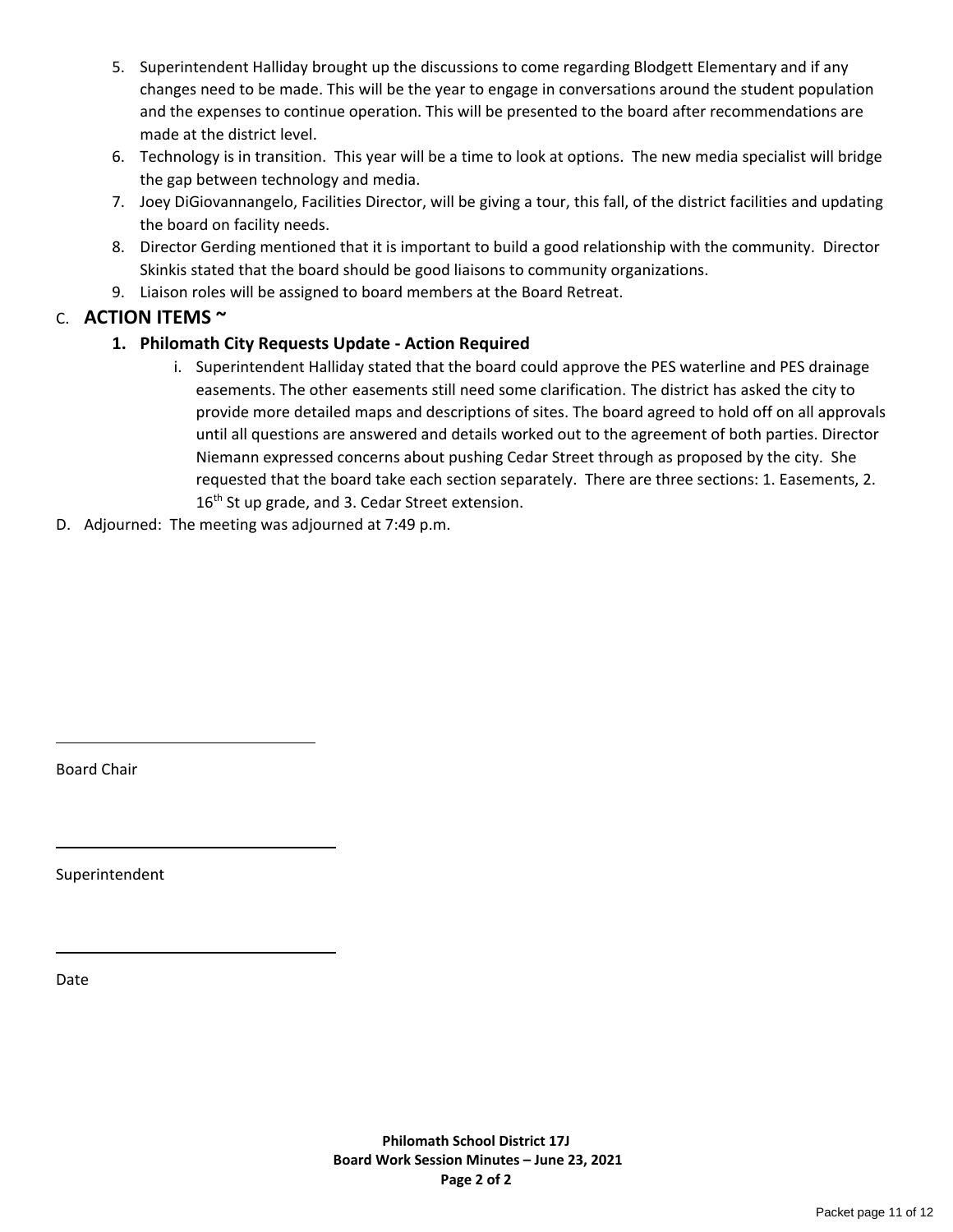- 5. Superintendent Halliday brought up the discussions to come regarding Blodgett Elementary and if any changes need to be made. This will be the year to engage in conversations around the student population and the expenses to continue operation. This will be presented to the board after recommendations are made at the district level.
- 6. Technology is in transition. This year will be a time to look at options. The new media specialist will bridge the gap between technology and media.
- 7. Joey DiGiovannangelo, Facilities Director, will be giving a tour, this fall, of the district facilities and updating the board on facility needs.
- 8. Director Gerding mentioned that it is important to build a good relationship with the community. Director Skinkis stated that the board should be good liaisons to community organizations.
- 9. Liaison roles will be assigned to board members at the Board Retreat.

### C. **ACTION ITEMS ~**

### **1. Philomath City Requests Update ‐ Action Required**

- i. Superintendent Halliday stated that the board could approve the PES waterline and PES drainage easements. The other easements still need some clarification. The district has asked the city to provide more detailed maps and descriptions of sites. The board agreed to hold off on all approvals until all questions are answered and details worked out to the agreement of both parties. Director Niemann expressed concerns about pushing Cedar Street through as proposed by the city. She requested that the board take each section separately. There are three sections: 1. Easements, 2. 16<sup>th</sup> St up grade, and 3. Cedar Street extension.
- D. Adjourned: The meeting was adjourned at 7:49 p.m.

Board Chair

Superintendent

Date